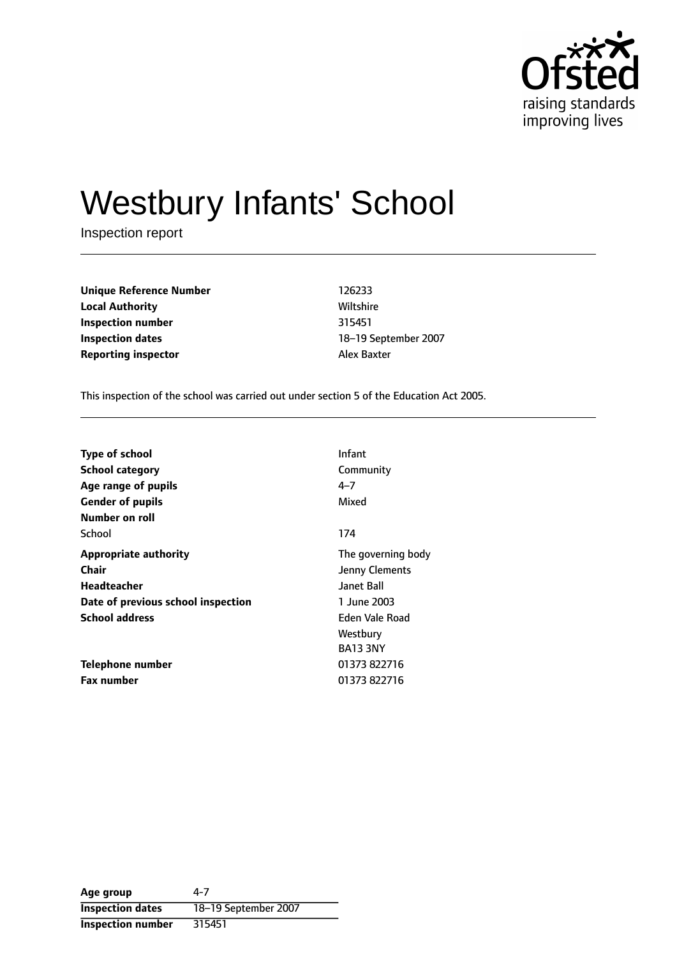

# Westbury Infants' School

Inspection report

**Unique Reference Number** 126233 **Local Authority Miltshire** Wiltshire **Inspection number** 315451 **Inspection dates** 18-19 September 2007 **Reporting inspector Alex Baxter** 

This inspection of the school was carried out under section 5 of the Education Act 2005.

| <b>Type of school</b>              | Infant             |
|------------------------------------|--------------------|
| <b>School category</b>             | Community          |
| Age range of pupils                | $4 - 7$            |
| <b>Gender of pupils</b>            | Mixed              |
| Number on roll                     |                    |
| School                             | 174                |
| <b>Appropriate authority</b>       | The governing body |
| Chair                              | Jenny Clements     |
| <b>Headteacher</b>                 | Janet Ball         |
| Date of previous school inspection | 1 June 2003        |
| <b>School address</b>              | Eden Vale Road     |
|                                    | Westbury           |
|                                    | <b>BA13 3NY</b>    |
| <b>Telephone number</b>            | 01373 822716       |
| <b>Fax number</b>                  | 01373 822716       |

**Age group** 4-7 **Inspection dates** 18-19 September 2007 **Inspection number** 315451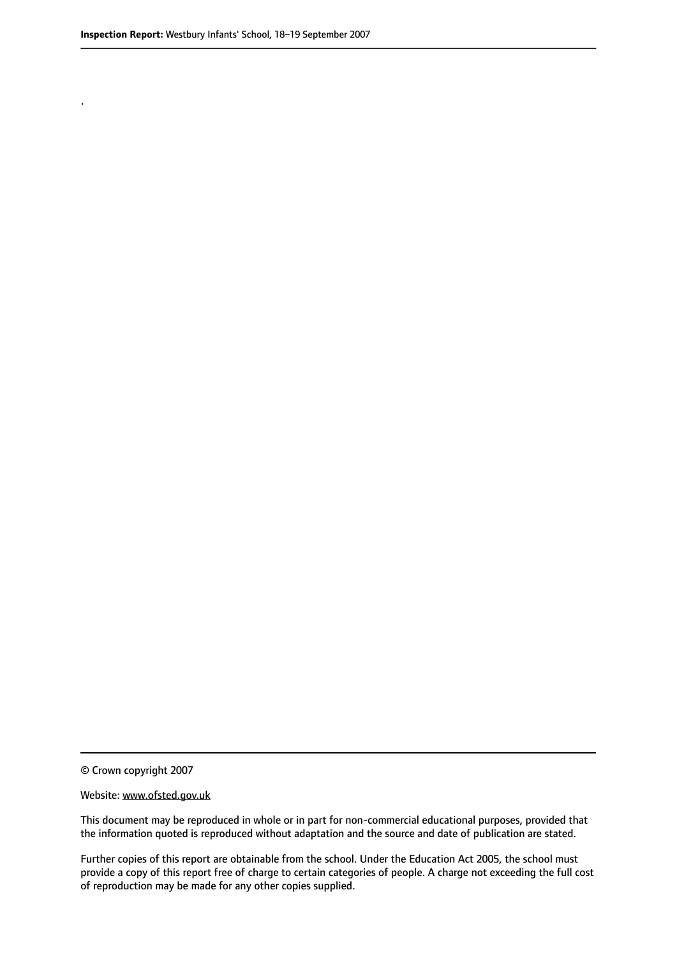.

© Crown copyright 2007

#### Website: www.ofsted.gov.uk

This document may be reproduced in whole or in part for non-commercial educational purposes, provided that the information quoted is reproduced without adaptation and the source and date of publication are stated.

Further copies of this report are obtainable from the school. Under the Education Act 2005, the school must provide a copy of this report free of charge to certain categories of people. A charge not exceeding the full cost of reproduction may be made for any other copies supplied.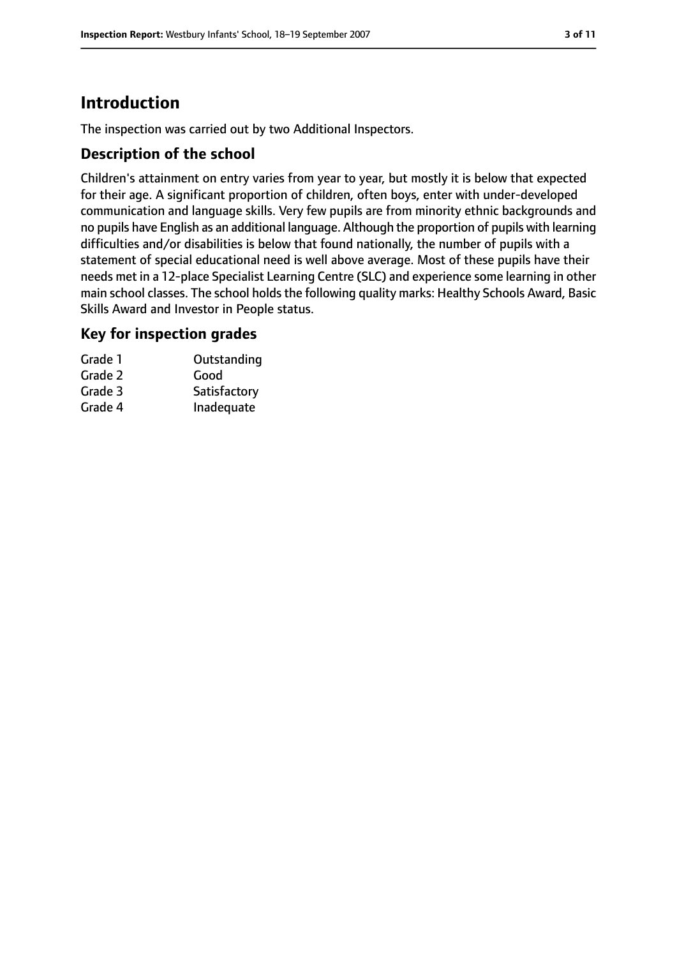# **Introduction**

The inspection was carried out by two Additional Inspectors.

#### **Description of the school**

Children's attainment on entry varies from year to year, but mostly it is below that expected for their age. A significant proportion of children, often boys, enter with under-developed communication and language skills. Very few pupils are from minority ethnic backgrounds and no pupils have English as an additional language. Although the proportion of pupils with learning difficulties and/or disabilities is below that found nationally, the number of pupils with a statement of special educational need is well above average. Most of these pupils have their needs met in a 12-place Specialist Learning Centre (SLC) and experience some learning in other main school classes. The school holds the following quality marks: Healthy Schools Award, Basic Skills Award and Investor in People status.

#### **Key for inspection grades**

| Outstanding  |
|--------------|
|              |
| Satisfactory |
| Inadequate   |
|              |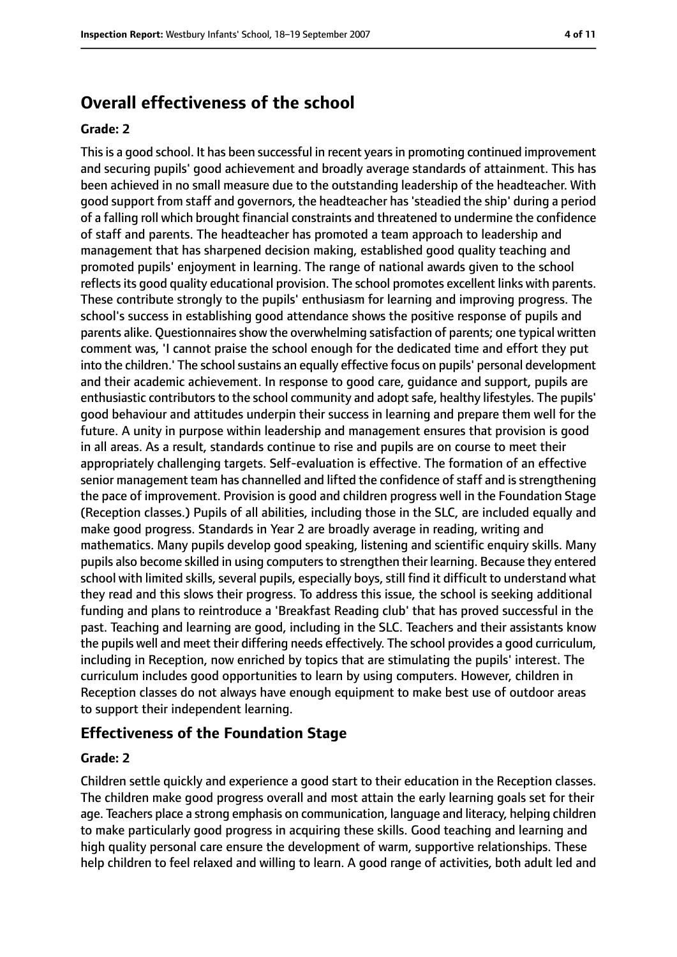## **Overall effectiveness of the school**

#### **Grade: 2**

Thisis a good school. It has been successful in recent yearsin promoting continued improvement and securing pupils' good achievement and broadly average standards of attainment. This has been achieved in no small measure due to the outstanding leadership of the headteacher. With good support from staff and governors, the headteacher has'steadied the ship' during a period of a falling roll which brought financial constraints and threatened to undermine the confidence of staff and parents. The headteacher has promoted a team approach to leadership and management that has sharpened decision making, established good quality teaching and promoted pupils' enjoyment in learning. The range of national awards given to the school reflectsits good quality educational provision. The school promotes excellent links with parents. These contribute strongly to the pupils' enthusiasm for learning and improving progress. The school's success in establishing good attendance shows the positive response of pupils and parents alike. Questionnaires show the overwhelming satisfaction of parents; one typical written comment was, 'I cannot praise the school enough for the dedicated time and effort they put into the children.' The school sustains an equally effective focus on pupils' personal development and their academic achievement. In response to good care, guidance and support, pupils are enthusiastic contributors to the school community and adopt safe, healthy lifestyles. The pupils' good behaviour and attitudes underpin their success in learning and prepare them well for the future. A unity in purpose within leadership and management ensures that provision is good in all areas. As a result, standards continue to rise and pupils are on course to meet their appropriately challenging targets. Self-evaluation is effective. The formation of an effective senior management team has channelled and lifted the confidence of staff and is strengthening the pace of improvement. Provision is good and children progress well in the Foundation Stage (Reception classes.) Pupils of all abilities, including those in the SLC, are included equally and make good progress. Standards in Year 2 are broadly average in reading, writing and mathematics. Many pupils develop good speaking, listening and scientific enquiry skills. Many pupils also become skilled in using computers to strengthen their learning. Because they entered school with limited skills, several pupils, especially boys, still find it difficult to understand what they read and this slows their progress. To address this issue, the school is seeking additional funding and plans to reintroduce a 'Breakfast Reading club' that has proved successful in the past. Teaching and learning are good, including in the SLC. Teachers and their assistants know the pupils well and meet their differing needs effectively. The school provides a good curriculum, including in Reception, now enriched by topics that are stimulating the pupils' interest. The curriculum includes good opportunities to learn by using computers. However, children in Reception classes do not always have enough equipment to make best use of outdoor areas to support their independent learning.

#### **Effectiveness of the Foundation Stage**

#### **Grade: 2**

Children settle quickly and experience a good start to their education in the Reception classes. The children make good progress overall and most attain the early learning goals set for their age. Teachers place a strong emphasis on communication, language and literacy, helping children to make particularly good progress in acquiring these skills. Good teaching and learning and high quality personal care ensure the development of warm, supportive relationships. These help children to feel relaxed and willing to learn. A good range of activities, both adult led and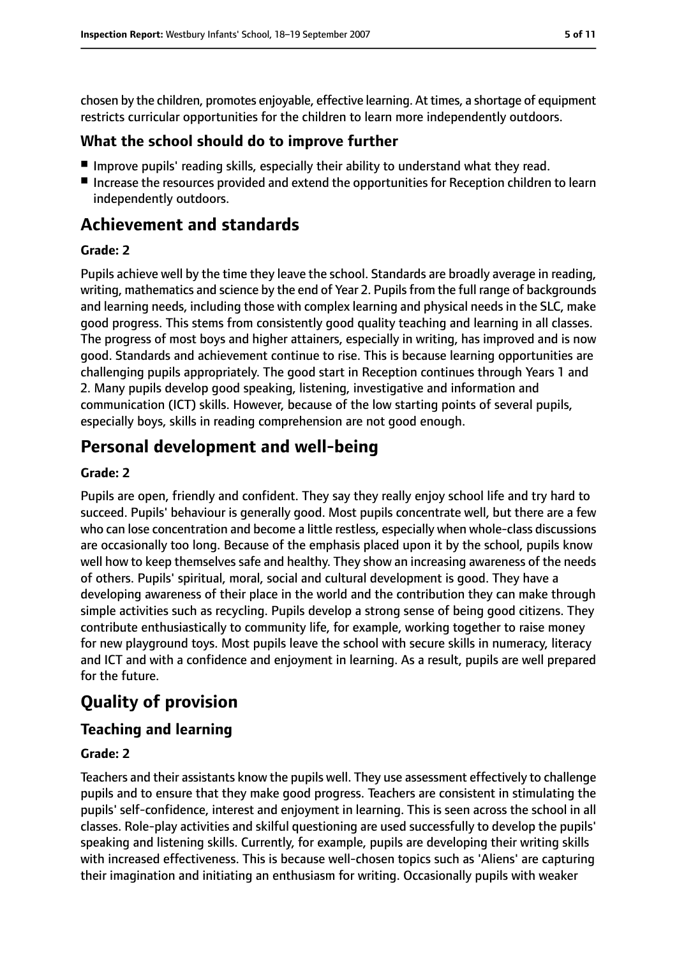chosen by the children, promotes enjoyable, effective learning. At times, a shortage of equipment restricts curricular opportunities for the children to learn more independently outdoors.

## **What the school should do to improve further**

- Improve pupils' reading skills, especially their ability to understand what they read.
- Increase the resources provided and extend the opportunities for Reception children to learn independently outdoors.

# **Achievement and standards**

#### **Grade: 2**

Pupils achieve well by the time they leave the school. Standards are broadly average in reading, writing, mathematics and science by the end of Year 2. Pupils from the full range of backgrounds and learning needs, including those with complex learning and physical needs in the SLC, make good progress. This stems from consistently good quality teaching and learning in all classes. The progress of most boys and higher attainers, especially in writing, has improved and is now good. Standards and achievement continue to rise. This is because learning opportunities are challenging pupils appropriately. The good start in Reception continues through Years 1 and 2. Many pupils develop good speaking, listening, investigative and information and communication (ICT) skills. However, because of the low starting points of several pupils, especially boys, skills in reading comprehension are not good enough.

## **Personal development and well-being**

#### **Grade: 2**

Pupils are open, friendly and confident. They say they really enjoy school life and try hard to succeed. Pupils' behaviour is generally good. Most pupils concentrate well, but there are a few who can lose concentration and become a little restless, especially when whole-class discussions are occasionally too long. Because of the emphasis placed upon it by the school, pupils know well how to keep themselves safe and healthy. They show an increasing awareness of the needs of others. Pupils' spiritual, moral, social and cultural development is good. They have a developing awareness of their place in the world and the contribution they can make through simple activities such as recycling. Pupils develop a strong sense of being good citizens. They contribute enthusiastically to community life, for example, working together to raise money for new playground toys. Most pupils leave the school with secure skills in numeracy, literacy and ICT and with a confidence and enjoyment in learning. As a result, pupils are well prepared for the future.

# **Quality of provision**

## **Teaching and learning**

### **Grade: 2**

Teachers and their assistants know the pupils well. They use assessment effectively to challenge pupils and to ensure that they make good progress. Teachers are consistent in stimulating the pupils' self-confidence, interest and enjoyment in learning. This is seen across the school in all classes. Role-play activities and skilful questioning are used successfully to develop the pupils' speaking and listening skills. Currently, for example, pupils are developing their writing skills with increased effectiveness. This is because well-chosen topics such as 'Aliens' are capturing their imagination and initiating an enthusiasm for writing. Occasionally pupils with weaker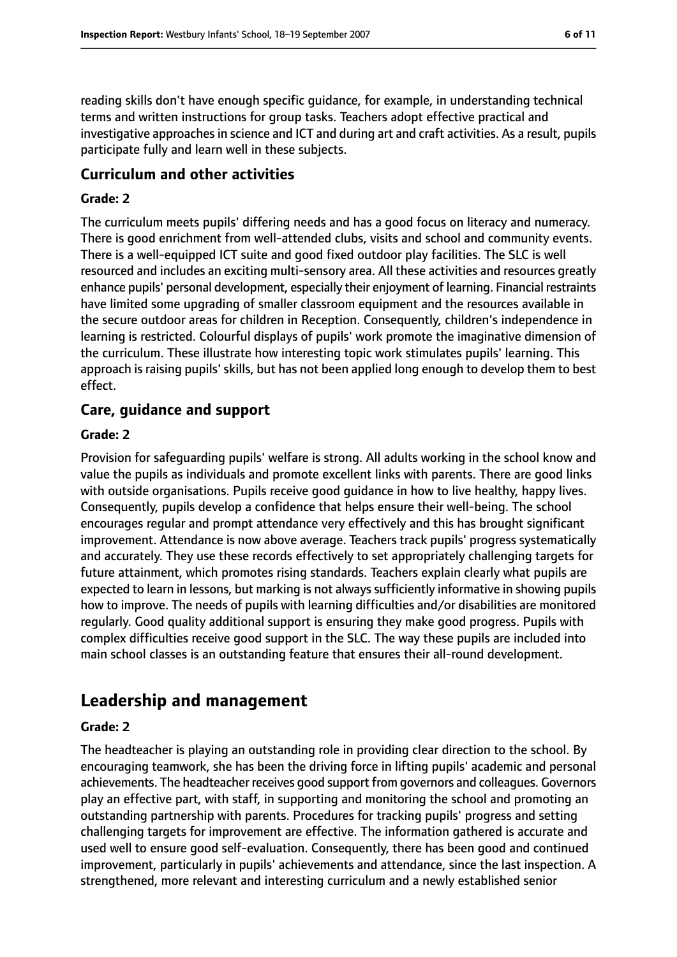reading skills don't have enough specific guidance, for example, in understanding technical terms and written instructions for group tasks. Teachers adopt effective practical and investigative approaches in science and ICT and during art and craft activities. As a result, pupils participate fully and learn well in these subjects.

#### **Curriculum and other activities**

#### **Grade: 2**

The curriculum meets pupils' differing needs and has a good focus on literacy and numeracy. There is good enrichment from well-attended clubs, visits and school and community events. There is a well-equipped ICT suite and good fixed outdoor play facilities. The SLC is well resourced and includes an exciting multi-sensory area. All these activities and resources greatly enhance pupils' personal development, especially their enjoyment of learning. Financial restraints have limited some upgrading of smaller classroom equipment and the resources available in the secure outdoor areas for children in Reception. Consequently, children's independence in learning is restricted. Colourful displays of pupils' work promote the imaginative dimension of the curriculum. These illustrate how interesting topic work stimulates pupils' learning. This approach is raising pupils' skills, but has not been applied long enough to develop them to best effect.

### **Care, guidance and support**

#### **Grade: 2**

Provision for safeguarding pupils' welfare is strong. All adults working in the school know and value the pupils as individuals and promote excellent links with parents. There are good links with outside organisations. Pupils receive good guidance in how to live healthy, happy lives. Consequently, pupils develop a confidence that helps ensure their well-being. The school encourages regular and prompt attendance very effectively and this has brought significant improvement. Attendance is now above average. Teachers track pupils' progress systematically and accurately. They use these records effectively to set appropriately challenging targets for future attainment, which promotes rising standards. Teachers explain clearly what pupils are expected to learn in lessons, but marking is not always sufficiently informative in showing pupils how to improve. The needs of pupils with learning difficulties and/or disabilities are monitored regularly. Good quality additional support is ensuring they make good progress. Pupils with complex difficulties receive good support in the SLC. The way these pupils are included into main school classes is an outstanding feature that ensures their all-round development.

## **Leadership and management**

#### **Grade: 2**

The headteacher is playing an outstanding role in providing clear direction to the school. By encouraging teamwork, she has been the driving force in lifting pupils' academic and personal achievements. The headteacher receives good support from governors and colleagues. Governors play an effective part, with staff, in supporting and monitoring the school and promoting an outstanding partnership with parents. Procedures for tracking pupils' progress and setting challenging targets for improvement are effective. The information gathered is accurate and used well to ensure good self-evaluation. Consequently, there has been good and continued improvement, particularly in pupils' achievements and attendance, since the last inspection. A strengthened, more relevant and interesting curriculum and a newly established senior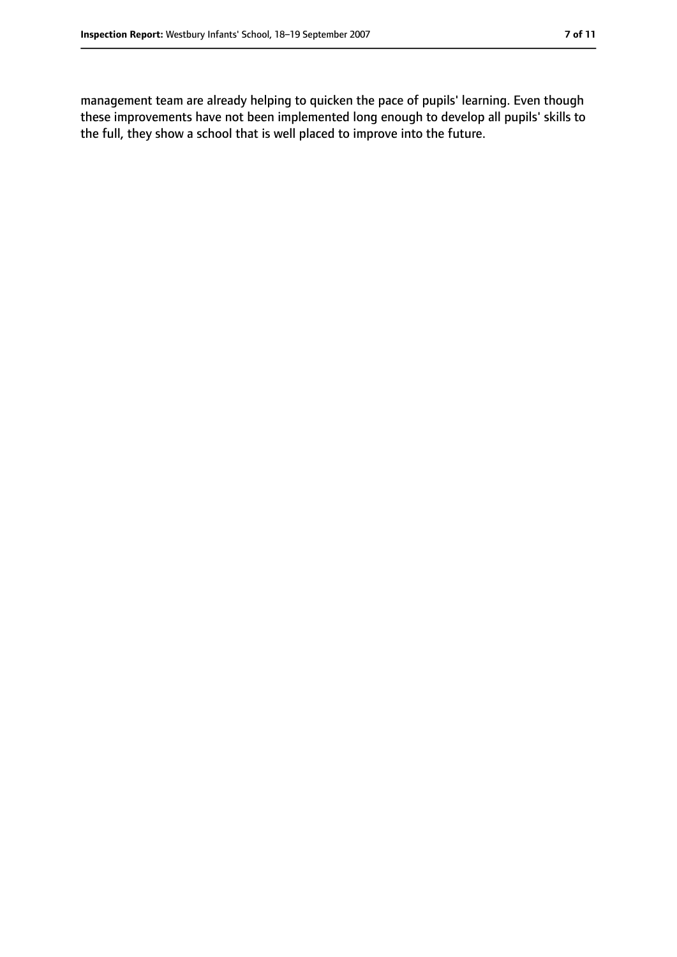management team are already helping to quicken the pace of pupils' learning. Even though these improvements have not been implemented long enough to develop all pupils' skills to the full, they show a school that is well placed to improve into the future.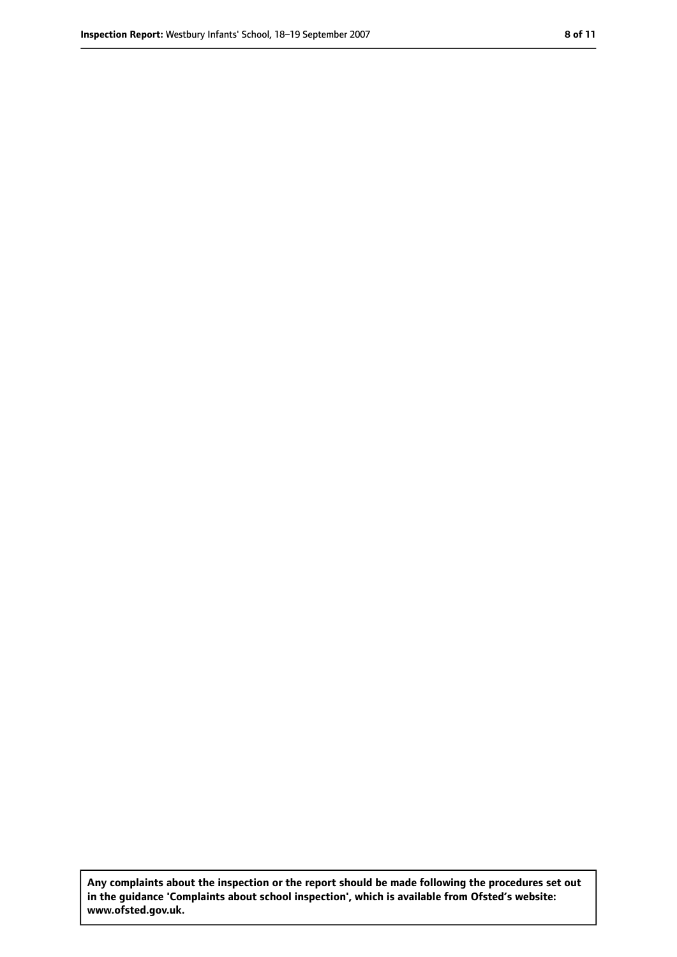**Any complaints about the inspection or the report should be made following the procedures set out in the guidance 'Complaints about school inspection', which is available from Ofsted's website: www.ofsted.gov.uk.**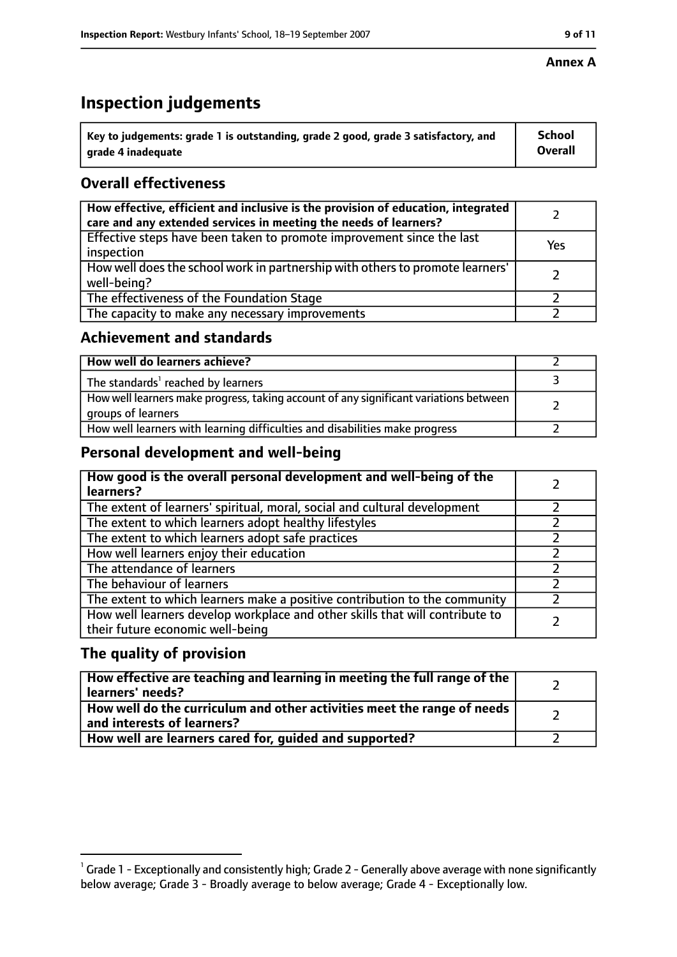# **Inspection judgements**

| $^{\backprime}$ Key to judgements: grade 1 is outstanding, grade 2 good, grade 3 satisfactory, and | <b>School</b>  |
|----------------------------------------------------------------------------------------------------|----------------|
| arade 4 inadequate                                                                                 | <b>Overall</b> |

## **Overall effectiveness**

| How effective, efficient and inclusive is the provision of education, integrated<br>care and any extended services in meeting the needs of learners? |     |
|------------------------------------------------------------------------------------------------------------------------------------------------------|-----|
| Effective steps have been taken to promote improvement since the last<br>inspection                                                                  | Yes |
| How well does the school work in partnership with others to promote learners'<br>well-being?                                                         |     |
| The effectiveness of the Foundation Stage                                                                                                            |     |
| The capacity to make any necessary improvements                                                                                                      |     |

## **Achievement and standards**

| How well do learners achieve?                                                                               |  |
|-------------------------------------------------------------------------------------------------------------|--|
| The standards <sup>1</sup> reached by learners                                                              |  |
| How well learners make progress, taking account of any significant variations between<br>groups of learners |  |
| How well learners with learning difficulties and disabilities make progress                                 |  |

## **Personal development and well-being**

| How good is the overall personal development and well-being of the<br>learners?                                  |  |
|------------------------------------------------------------------------------------------------------------------|--|
| The extent of learners' spiritual, moral, social and cultural development                                        |  |
| The extent to which learners adopt healthy lifestyles                                                            |  |
| The extent to which learners adopt safe practices                                                                |  |
| How well learners enjoy their education                                                                          |  |
| The attendance of learners                                                                                       |  |
| The behaviour of learners                                                                                        |  |
| The extent to which learners make a positive contribution to the community                                       |  |
| How well learners develop workplace and other skills that will contribute to<br>their future economic well-being |  |

## **The quality of provision**

| How effective are teaching and learning in meeting the full range of the<br>learners' needs?          |  |
|-------------------------------------------------------------------------------------------------------|--|
| How well do the curriculum and other activities meet the range of needs<br>and interests of learners? |  |
| How well are learners cared for, quided and supported?                                                |  |

 $^1$  Grade 1 - Exceptionally and consistently high; Grade 2 - Generally above average with none significantly below average; Grade 3 - Broadly average to below average; Grade 4 - Exceptionally low.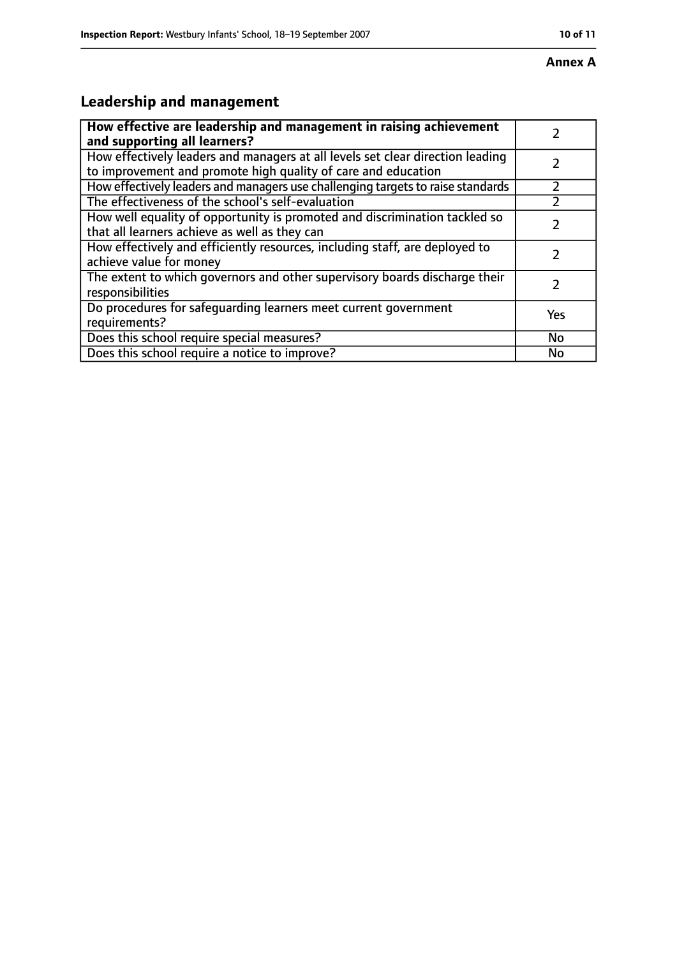# **Leadership and management**

| How effective are leadership and management in raising achievement<br>and supporting all learners?                                              |           |
|-------------------------------------------------------------------------------------------------------------------------------------------------|-----------|
| How effectively leaders and managers at all levels set clear direction leading<br>to improvement and promote high quality of care and education |           |
| How effectively leaders and managers use challenging targets to raise standards                                                                 |           |
| The effectiveness of the school's self-evaluation                                                                                               |           |
| How well equality of opportunity is promoted and discrimination tackled so<br>that all learners achieve as well as they can                     |           |
| How effectively and efficiently resources, including staff, are deployed to<br>achieve value for money                                          |           |
| The extent to which governors and other supervisory boards discharge their<br>responsibilities                                                  |           |
| Do procedures for safequarding learners meet current government<br>requirements?                                                                | Yes       |
| Does this school require special measures?                                                                                                      | <b>No</b> |
| Does this school require a notice to improve?                                                                                                   | No        |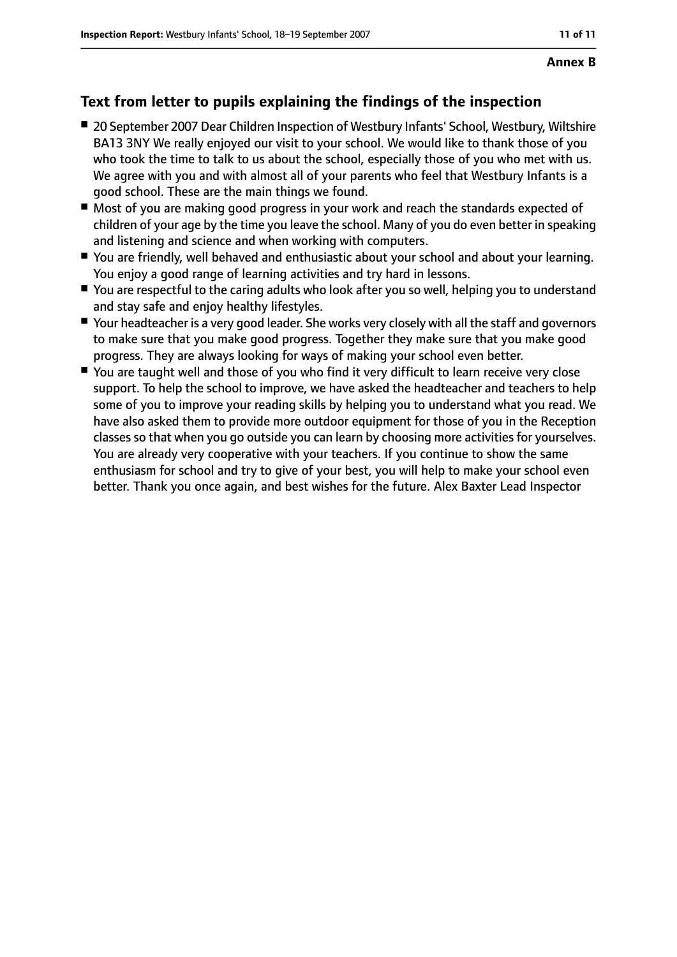## **Text from letter to pupils explaining the findings of the inspection**

- 20 September 2007 Dear Children Inspection of Westbury Infants' School, Westbury, Wiltshire BA13 3NY We really enjoyed our visit to your school. We would like to thank those of you who took the time to talk to us about the school, especially those of you who met with us. We agree with you and with almost all of your parents who feel that Westbury Infants is a good school. These are the main things we found.
- Most of you are making good progress in your work and reach the standards expected of children of your age by the time you leave the school. Many of you do even better in speaking and listening and science and when working with computers.
- You are friendly, well behaved and enthusiastic about your school and about your learning. You enjoy a good range of learning activities and try hard in lessons.
- You are respectful to the caring adults who look after you so well, helping you to understand and stay safe and enjoy healthy lifestyles.
- Your headteacher is a very good leader. She works very closely with all the staff and governors to make sure that you make good progress. Together they make sure that you make good progress. They are always looking for ways of making your school even better.
- You are taught well and those of you who find it very difficult to learn receive very close support. To help the school to improve, we have asked the headteacher and teachers to help some of you to improve your reading skills by helping you to understand what you read. We have also asked them to provide more outdoor equipment for those of you in the Reception classes so that when you go outside you can learn by choosing more activities for yourselves. You are already very cooperative with your teachers. If you continue to show the same enthusiasm for school and try to give of your best, you will help to make your school even better. Thank you once again, and best wishes for the future. Alex Baxter Lead Inspector